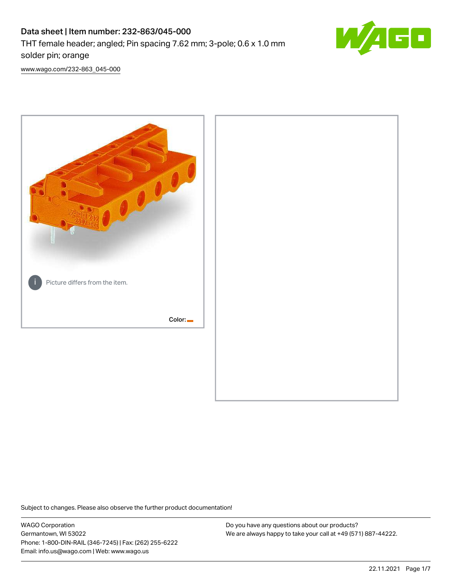# Data sheet | Item number: 232-863/045-000 THT female header; angled; Pin spacing 7.62 mm; 3-pole; 0.6 x 1.0 mm solder pin; orange



[www.wago.com/232-863\\_045-000](http://www.wago.com/232-863_045-000)



Subject to changes. Please also observe the further product documentation!

WAGO Corporation Germantown, WI 53022 Phone: 1-800-DIN-RAIL (346-7245) | Fax: (262) 255-6222 Email: info.us@wago.com | Web: www.wago.us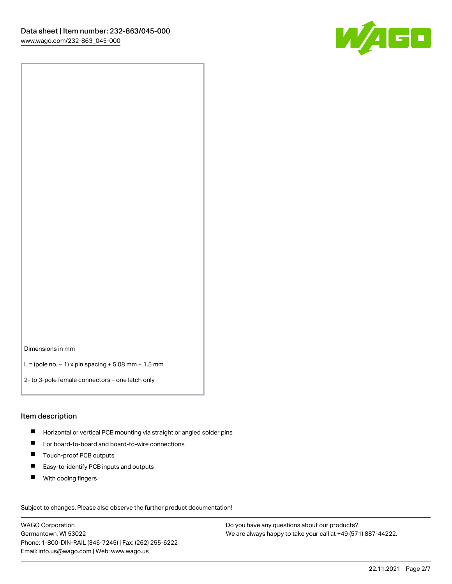

Dimensions in mm

L = (pole no. − 1) x pin spacing + 5.08 mm + 1.5 mm

2- to 3-pole female connectors – one latch only

#### Item description

- **H** Horizontal or vertical PCB mounting via straight or angled solder pins
- For board-to-board and board-to-wire connections
- Touch-proof PCB outputs  $\blacksquare$
- $\blacksquare$ Easy-to-identify PCB inputs and outputs
- $\blacksquare$ With coding fingers

Subject to changes. Please also observe the further product documentation! Data

WAGO Corporation Germantown, WI 53022 Phone: 1-800-DIN-RAIL (346-7245) | Fax: (262) 255-6222 Email: info.us@wago.com | Web: www.wago.us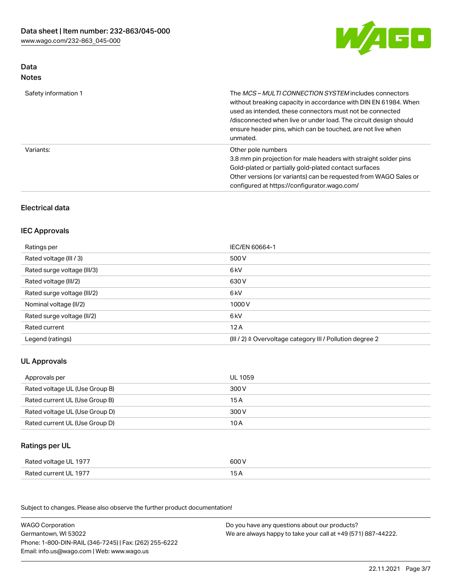

# Data Notes

| Safety information 1 | The MCS-MULTI CONNECTION SYSTEM includes connectors<br>without breaking capacity in accordance with DIN EN 61984. When<br>used as intended, these connectors must not be connected<br>/disconnected when live or under load. The circuit design should<br>ensure header pins, which can be touched, are not live when<br>unmated. |
|----------------------|-----------------------------------------------------------------------------------------------------------------------------------------------------------------------------------------------------------------------------------------------------------------------------------------------------------------------------------|
| Variants:            | Other pole numbers<br>3.8 mm pin projection for male headers with straight solder pins<br>Gold-plated or partially gold-plated contact surfaces<br>Other versions (or variants) can be requested from WAGO Sales or<br>configured at https://configurator.wago.com/                                                               |

# Electrical data

### IEC Approvals

| Ratings per                 | IEC/EN 60664-1                                                        |
|-----------------------------|-----------------------------------------------------------------------|
| Rated voltage (III / 3)     | 500 V                                                                 |
| Rated surge voltage (III/3) | 6 kV                                                                  |
| Rated voltage (III/2)       | 630 V                                                                 |
| Rated surge voltage (III/2) | 6 kV                                                                  |
| Nominal voltage (II/2)      | 1000 V                                                                |
| Rated surge voltage (II/2)  | 6 kV                                                                  |
| Rated current               | 12A                                                                   |
| Legend (ratings)            | $(III / 2)$ $\triangle$ Overvoltage category III / Pollution degree 2 |

# UL Approvals

| Approvals per                  | UL 1059 |
|--------------------------------|---------|
| Rated voltage UL (Use Group B) | 300 V   |
| Rated current UL (Use Group B) | 15 A    |
| Rated voltage UL (Use Group D) | 300 V   |
| Rated current UL (Use Group D) | 10 A    |

# Ratings per UL

| Rated voltage UL 1977 | 600 V |
|-----------------------|-------|
| Rated current UL 1977 | 15 A  |

Subject to changes. Please also observe the further product documentation!

| <b>WAGO Corporation</b>                                | Do you have any questions about our products?                 |
|--------------------------------------------------------|---------------------------------------------------------------|
| Germantown, WI 53022                                   | We are always happy to take your call at +49 (571) 887-44222. |
| Phone: 1-800-DIN-RAIL (346-7245)   Fax: (262) 255-6222 |                                                               |
| Email: info.us@wago.com   Web: www.wago.us             |                                                               |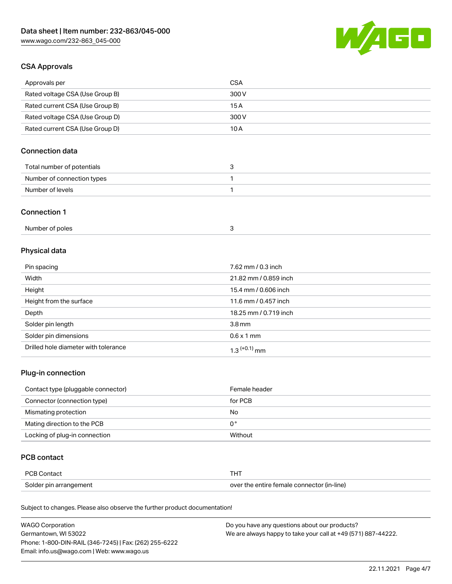

# CSA Approvals

| Approvals per                   | CSA   |
|---------------------------------|-------|
| Rated voltage CSA (Use Group B) | 300 V |
| Rated current CSA (Use Group B) | 15 A  |
| Rated voltage CSA (Use Group D) | 300 V |
| Rated current CSA (Use Group D) | 10 A  |

# Connection data

| Total number of potentials |  |
|----------------------------|--|
| Number of connection types |  |
| Number of levels           |  |

#### Connection 1

| Number of poles |  |
|-----------------|--|
|-----------------|--|

# Physical data

| Pin spacing                          | 7.62 mm / 0.3 inch    |
|--------------------------------------|-----------------------|
| Width                                | 21.82 mm / 0.859 inch |
| Height                               | 15.4 mm / 0.606 inch  |
| Height from the surface              | 11.6 mm / 0.457 inch  |
| Depth                                | 18.25 mm / 0.719 inch |
| Solder pin length                    | 3.8 <sub>mm</sub>     |
| Solder pin dimensions                | $0.6 \times 1$ mm     |
| Drilled hole diameter with tolerance | $1.3$ $(+0.1)$ mm     |

# Plug-in connection

| Contact type (pluggable connector) | Female header |
|------------------------------------|---------------|
| Connector (connection type)        | for PCB       |
| Mismating protection               | No            |
| Mating direction to the PCB        | 0°            |
| Locking of plug-in connection      | Without       |

### PCB contact

| PCB Contact            | THT                                        |
|------------------------|--------------------------------------------|
| Solder pin arrangement | over the entire female connector (in-line) |

Subject to changes. Please also observe the further product documentation!

| <b>WAGO Corporation</b>                                | Do you have any questions about our products?                 |
|--------------------------------------------------------|---------------------------------------------------------------|
| Germantown, WI 53022                                   | We are always happy to take your call at +49 (571) 887-44222. |
| Phone: 1-800-DIN-RAIL (346-7245)   Fax: (262) 255-6222 |                                                               |
| Email: info.us@wago.com   Web: www.wago.us             |                                                               |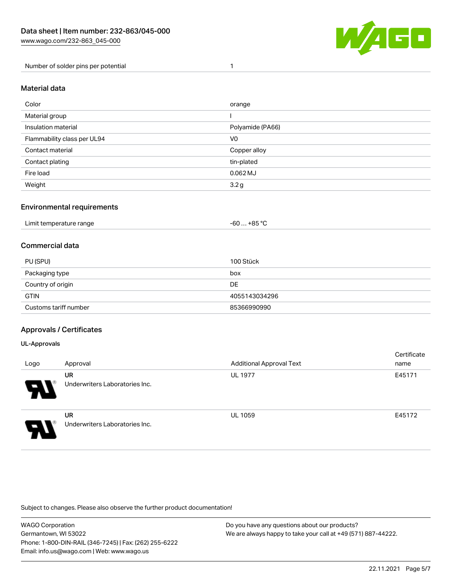

Number of solder pins per potential 1

#### Material data

| Color                       | orange           |
|-----------------------------|------------------|
| Material group              |                  |
| Insulation material         | Polyamide (PA66) |
| Flammability class per UL94 | V <sub>0</sub>   |
| Contact material            | Copper alloy     |
| Contact plating             | tin-plated       |
| Fire load                   | $0.062$ MJ       |
| Weight                      | 3.2 <sub>g</sub> |

### Environmental requirements

| Limit temperature range<br>. | $. +85 °C$<br>-60 |  |
|------------------------------|-------------------|--|
|------------------------------|-------------------|--|

### Commercial data

| PU (SPU)              | 100 Stück     |
|-----------------------|---------------|
| Packaging type        | box           |
| Country of origin     | DE            |
| <b>GTIN</b>           | 4055143034296 |
| Customs tariff number | 85366990990   |

### Approvals / Certificates

#### UL-Approvals

ш

| Logo | Approval                             | <b>Additional Approval Text</b> | Certificate<br>name |
|------|--------------------------------------|---------------------------------|---------------------|
| 8    | UR<br>Underwriters Laboratories Inc. | <b>UL 1977</b>                  | E45171              |
| I    | UR<br>Underwriters Laboratories Inc. | <b>UL 1059</b>                  | E45172              |

Subject to changes. Please also observe the further product documentation!

| WAGO Corporation                                       | Do you have any questions about our products?                 |
|--------------------------------------------------------|---------------------------------------------------------------|
| Germantown, WI 53022                                   | We are always happy to take your call at +49 (571) 887-44222. |
| Phone: 1-800-DIN-RAIL (346-7245)   Fax: (262) 255-6222 |                                                               |
| Email: info.us@wago.com   Web: www.wago.us             |                                                               |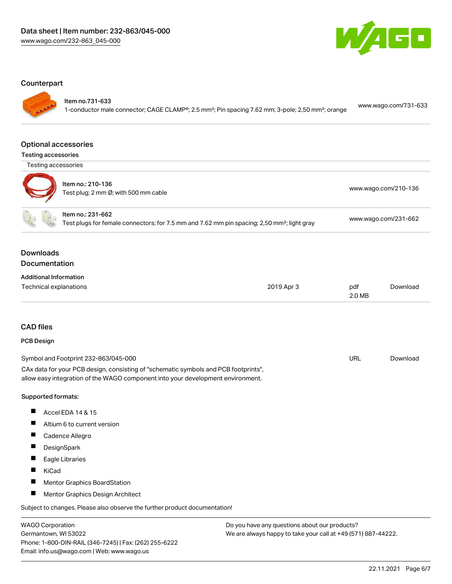

#### **Counterpart**

Item no.731-633

1-conductor male connector; CAGE CLAMP®; 2.5 mm²; Pin spacing 7.62 mm; 3-pole; 2,50 mm²; orange [www.wago.com/731-633](https://www.wago.com/731-633)

#### Optional accessories

| <b>Testing accessories</b> |  |
|----------------------------|--|
|----------------------------|--|

Testing accessories



| oung aoocooonico |                                                           |                                           |
|------------------|-----------------------------------------------------------|-------------------------------------------|
|                  | Item no.: 210-136<br>Test plug; 2 mm Ø; with 500 mm cable | www.wago.com/210-136                      |
|                  | Item no.: 231-662                                         | $\sim$ $\sim$ $\sim$ $\sim$ $\sim$ $\sim$ |

Test plugs for female connectors; for 7.5 mm and 7.62 mm pin spacing; 2,50 mm²; light gray [www.wago.com/231-662](http://www.wago.com/231-662)

### Downloads Documentation

| <b>Additional Information</b> |            |        |          |
|-------------------------------|------------|--------|----------|
| Technical explanations        | 2019 Apr 3 | pdf    | Download |
|                               |            | 2.0 MB |          |

# CAD files

### PCB Design

| Symbol and Footprint 232-863/045-000                                                | URL | Download |
|-------------------------------------------------------------------------------------|-----|----------|
| CAx data for your PCB design, consisting of "schematic symbols and PCB footprints", |     |          |
| allow easy integration of the WAGO component into your development environment.     |     |          |

#### Supported formats:

- $\blacksquare$ Accel EDA 14 & 15
- $\blacksquare$ Altium 6 to current version
- $\blacksquare$ Cadence Allegro
- $\blacksquare$ **DesignSpark**
- $\blacksquare$ Eagle Libraries
- $\blacksquare$ KiCad
- $\blacksquare$ Mentor Graphics BoardStation
- $\blacksquare$ Mentor Graphics Design Architect

Subject to changes. Please also observe the further product documentation!

WAGO Corporation Germantown, WI 53022 Phone: 1-800-DIN-RAIL (346-7245) | Fax: (262) 255-6222 Email: info.us@wago.com | Web: www.wago.us